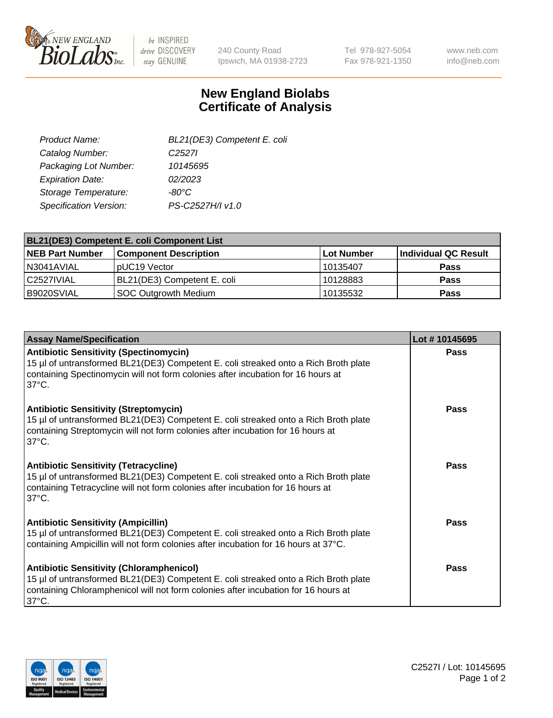

 $be$  INSPIRED drive DISCOVERY stay GENUINE

240 County Road Ipswich, MA 01938-2723 Tel 978-927-5054 Fax 978-921-1350

www.neb.com info@neb.com

## **New England Biolabs Certificate of Analysis**

| BL21(DE3) Competent E. coli |
|-----------------------------|
| C <sub>2527</sub>           |
| 10145695                    |
| 02/2023                     |
| -80°C                       |
| PS-C2527H/I v1.0            |
|                             |

| <b>BL21(DE3) Competent E. coli Component List</b> |                              |             |                      |  |
|---------------------------------------------------|------------------------------|-------------|----------------------|--|
| <b>NEB Part Number</b>                            | <b>Component Description</b> | ∣Lot Number | Individual QC Result |  |
| N3041AVIAL                                        | pUC19 Vector                 | 10135407    | <b>Pass</b>          |  |
| I C2527IVIAL                                      | BL21(DE3) Competent E. coli  | 10128883    | <b>Pass</b>          |  |
| B9020SVIAL                                        | SOC Outgrowth Medium         | 10135532    | <b>Pass</b>          |  |

| <b>Assay Name/Specification</b>                                                                                                                                                                                                                 | Lot #10145695 |
|-------------------------------------------------------------------------------------------------------------------------------------------------------------------------------------------------------------------------------------------------|---------------|
| <b>Antibiotic Sensitivity (Spectinomycin)</b><br>15 µl of untransformed BL21(DE3) Competent E. coli streaked onto a Rich Broth plate<br>containing Spectinomycin will not form colonies after incubation for 16 hours at<br>$37^{\circ}$ C.     | <b>Pass</b>   |
| <b>Antibiotic Sensitivity (Streptomycin)</b><br>15 µl of untransformed BL21(DE3) Competent E. coli streaked onto a Rich Broth plate<br>containing Streptomycin will not form colonies after incubation for 16 hours at<br>$37^{\circ}$ C.       | Pass          |
| <b>Antibiotic Sensitivity (Tetracycline)</b><br>15 µl of untransformed BL21(DE3) Competent E. coli streaked onto a Rich Broth plate<br>containing Tetracycline will not form colonies after incubation for 16 hours at<br>$37^{\circ}$ C.       | Pass          |
| <b>Antibiotic Sensitivity (Ampicillin)</b><br>15 µl of untransformed BL21(DE3) Competent E. coli streaked onto a Rich Broth plate<br>containing Ampicillin will not form colonies after incubation for 16 hours at 37°C.                        | Pass          |
| <b>Antibiotic Sensitivity (Chloramphenicol)</b><br>15 µl of untransformed BL21(DE3) Competent E. coli streaked onto a Rich Broth plate<br>containing Chloramphenicol will not form colonies after incubation for 16 hours at<br>$37^{\circ}$ C. | Pass          |